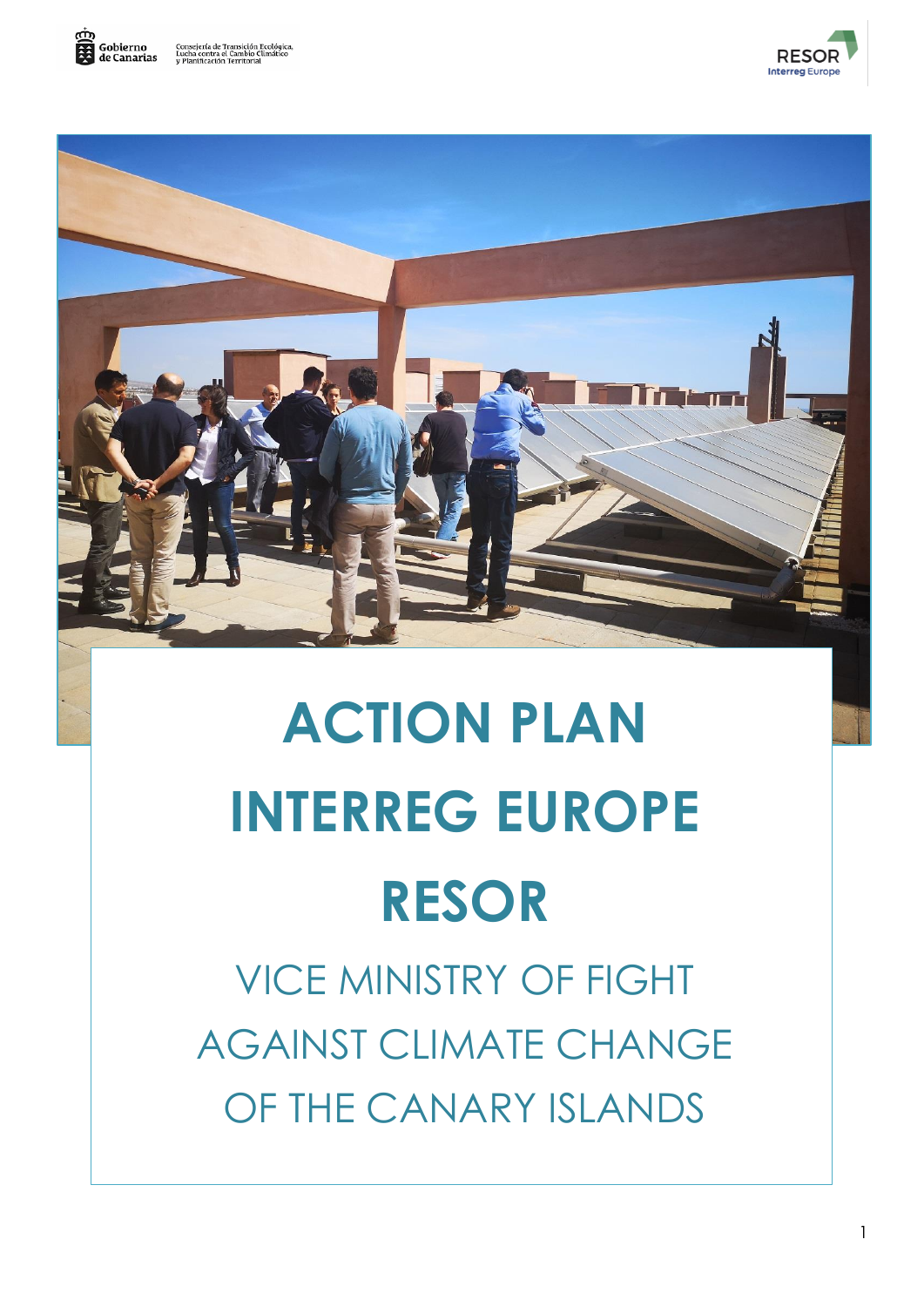





# **ACTION PLAN INTERREG EUROPE RESOR**

VICE MINISTRY OF FIGHT AGAINST CLIMATE CHANGE OF THE CANARY ISLANDS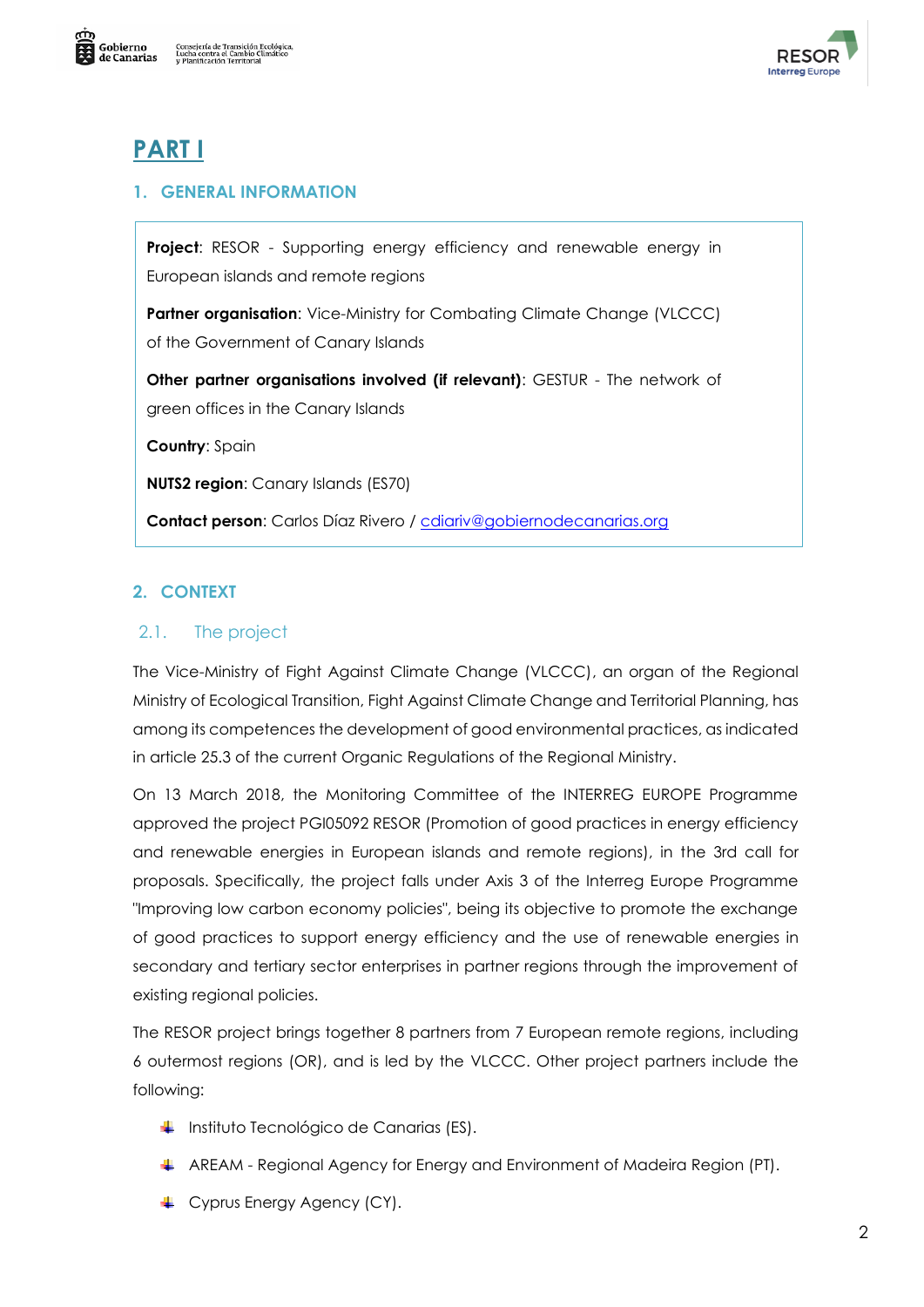



# **PART I**

## **1. GENERAL INFORMATION**

**Project**: RESOR - Supporting energy efficiency and renewable energy in European islands and remote regions

**Partner organisation:** Vice-Ministry for Combating Climate Change (VLCCC) of the Government of Canary Islands

**Other partner organisations involved (if relevant)**: GESTUR - The network of green offices in the Canary Islands

**Country**: Spain

**NUTS2 region**: Canary Islands (ES70)

**Contact person**: Carlos Díaz Rivero / [cdiariv@gobiernodecanarias.org](mailto:cdiariv@gobiernodecanarias.org)

# **2. CONTEXT**

## 2.1. The project

The Vice-Ministry of Fight Against Climate Change (VLCCC), an organ of the Regional Ministry of Ecological Transition, Fight Against Climate Change and Territorial Planning, has among its competences the development of good environmental practices, as indicated in article 25.3 of the current Organic Regulations of the Regional Ministry.

On 13 March 2018, the Monitoring Committee of the INTERREG EUROPE Programme approved the project PGI05092 RESOR (Promotion of good practices in energy efficiency and renewable energies in European islands and remote regions), in the 3rd call for proposals. Specifically, the project falls under Axis 3 of the Interreg Europe Programme "Improving low carbon economy policies", being its objective to promote the exchange of good practices to support energy efficiency and the use of renewable energies in secondary and tertiary sector enterprises in partner regions through the improvement of existing regional policies.

The RESOR project brings together 8 partners from 7 European remote regions, including 6 outermost regions (OR), and is led by the VLCCC. Other project partners include the following:

- **La Instituto Tecnológico de Canarias (ES).**
- AREAM Regional Agency for Energy and Environment of Madeira Region (PT).
- **L** Cyprus Energy Agency (CY).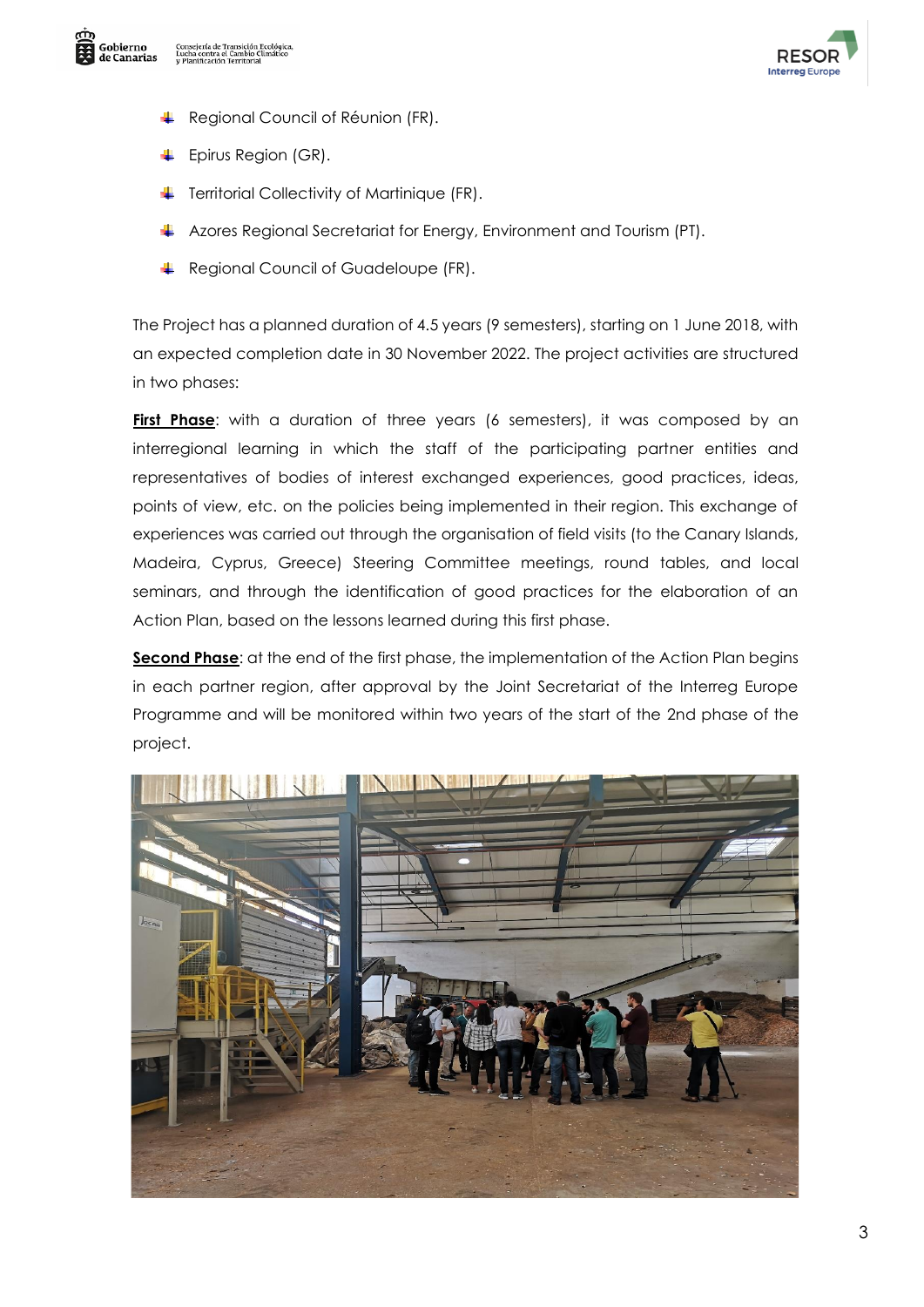





- Regional Council of Réunion (FR).
- Epirus Region (GR). ┻
- Territorial Collectivity of Martinique (FR). ₩
- Azores Regional Secretariat for Energy, Environment and Tourism (PT).
- ٠ Regional Council of Guadeloupe (FR).

The Project has a planned duration of 4.5 years (9 semesters), starting on 1 June 2018, with an expected completion date in 30 November 2022. The project activities are structured in two phases:

**First Phase**: with a duration of three years (6 semesters), it was composed by an interregional learning in which the staff of the participating partner entities and representatives of bodies of interest exchanged experiences, good practices, ideas, points of view, etc. on the policies being implemented in their region. This exchange of experiences was carried out through the organisation of field visits (to the Canary Islands, Madeira, Cyprus, Greece) Steering Committee meetings, round tables, and local seminars, and through the identification of good practices for the elaboration of an Action Plan, based on the lessons learned during this first phase.

**Second Phase**: at the end of the first phase, the implementation of the Action Plan begins in each partner region, after approval by the Joint Secretariat of the Interreg Europe Programme and will be monitored within two years of the start of the 2nd phase of the project.

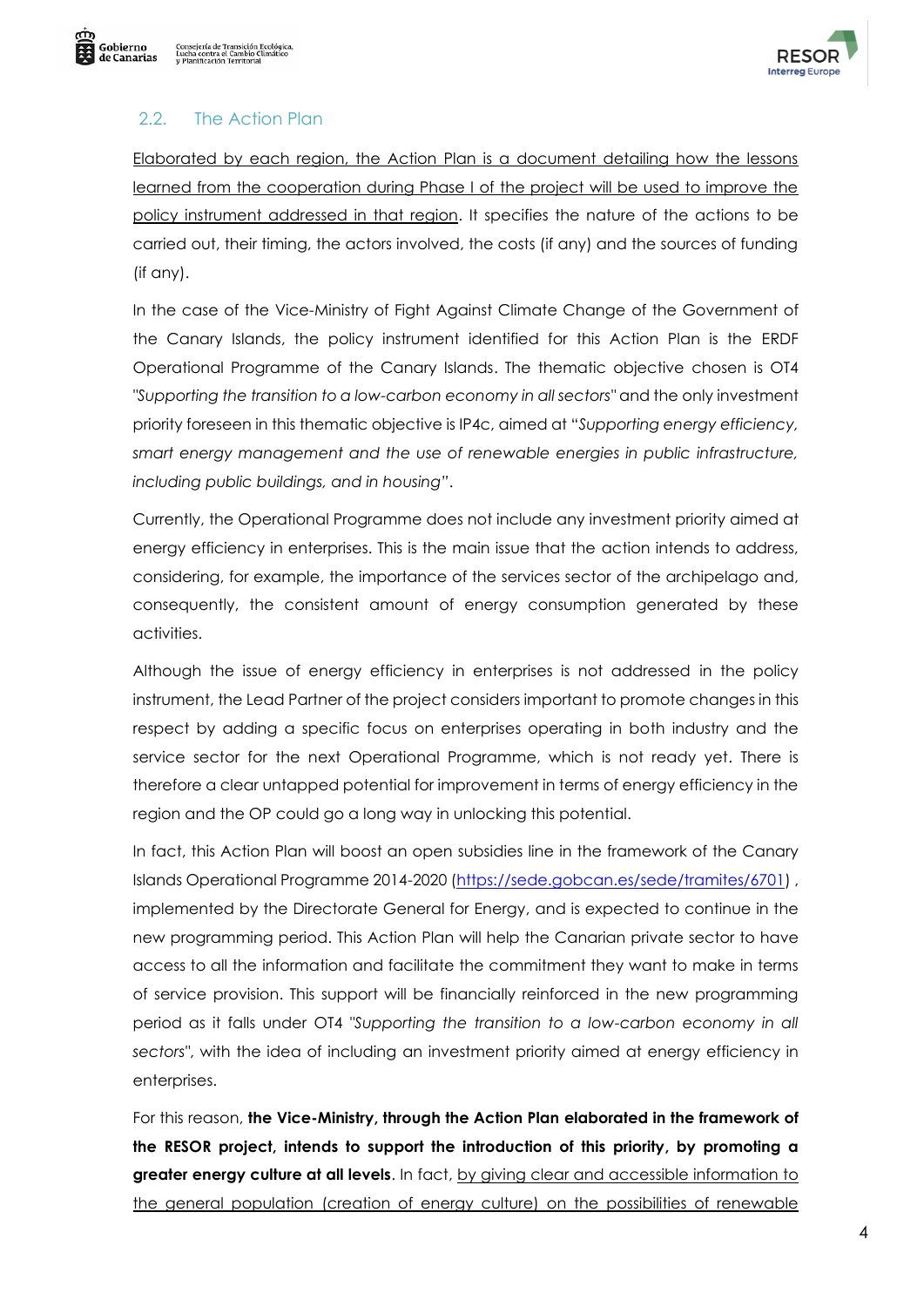



# 2.2. The Action Plan

Elaborated by each region, the Action Plan is a document detailing how the lessons learned from the cooperation during Phase I of the project will be used to improve the policy instrument addressed in that region. It specifies the nature of the actions to be carried out, their timing, the actors involved, the costs (if any) and the sources of funding (if any).

In the case of the Vice-Ministry of Fight Against Climate Change of the Government of the Canary Islands, the policy instrument identified for this Action Plan is the ERDF Operational Programme of the Canary Islands. The thematic objective chosen is OT4 *"Supporting the transition to a low-carbon economy in all sectors"* and the only investment priority foreseen in this thematic objective is IP4c, aimed at "*Supporting energy efficiency, smart energy management and the use of renewable energies in public infrastructure, including public buildings, and in housing"*.

Currently, the Operational Programme does not include any investment priority aimed at energy efficiency in enterprises. This is the main issue that the action intends to address, considering, for example, the importance of the services sector of the archipelago and, consequently, the consistent amount of energy consumption generated by these activities.

Although the issue of energy efficiency in enterprises is not addressed in the policy instrument, the Lead Partner of the project considers important to promote changes in this respect by adding a specific focus on enterprises operating in both industry and the service sector for the next Operational Programme, which is not ready yet. There is therefore a clear untapped potential for improvement in terms of energy efficiency in the region and the OP could go a long way in unlocking this potential.

In fact, this Action Plan will boost an open subsidies line in the framework of the Canary Islands Operational Programme 2014-2020 [\(https://sede.gobcan.es/sede/tramites/6701\)](https://sede.gobcan.es/sede/tramites/6701), implemented by the Directorate General for Energy, and is expected to continue in the new programming period. This Action Plan will help the Canarian private sector to have access to all the information and facilitate the commitment they want to make in terms of service provision. This support will be financially reinforced in the new programming period as it falls under OT4 *"Supporting the transition to a low-carbon economy in all sectors"*, with the idea of including an investment priority aimed at energy efficiency in enterprises.

For this reason, **the Vice-Ministry, through the Action Plan elaborated in the framework of the RESOR project, intends to support the introduction of this priority, by promoting a greater energy culture at all levels**. In fact, by giving clear and accessible information to the general population (creation of energy culture) on the possibilities of renewable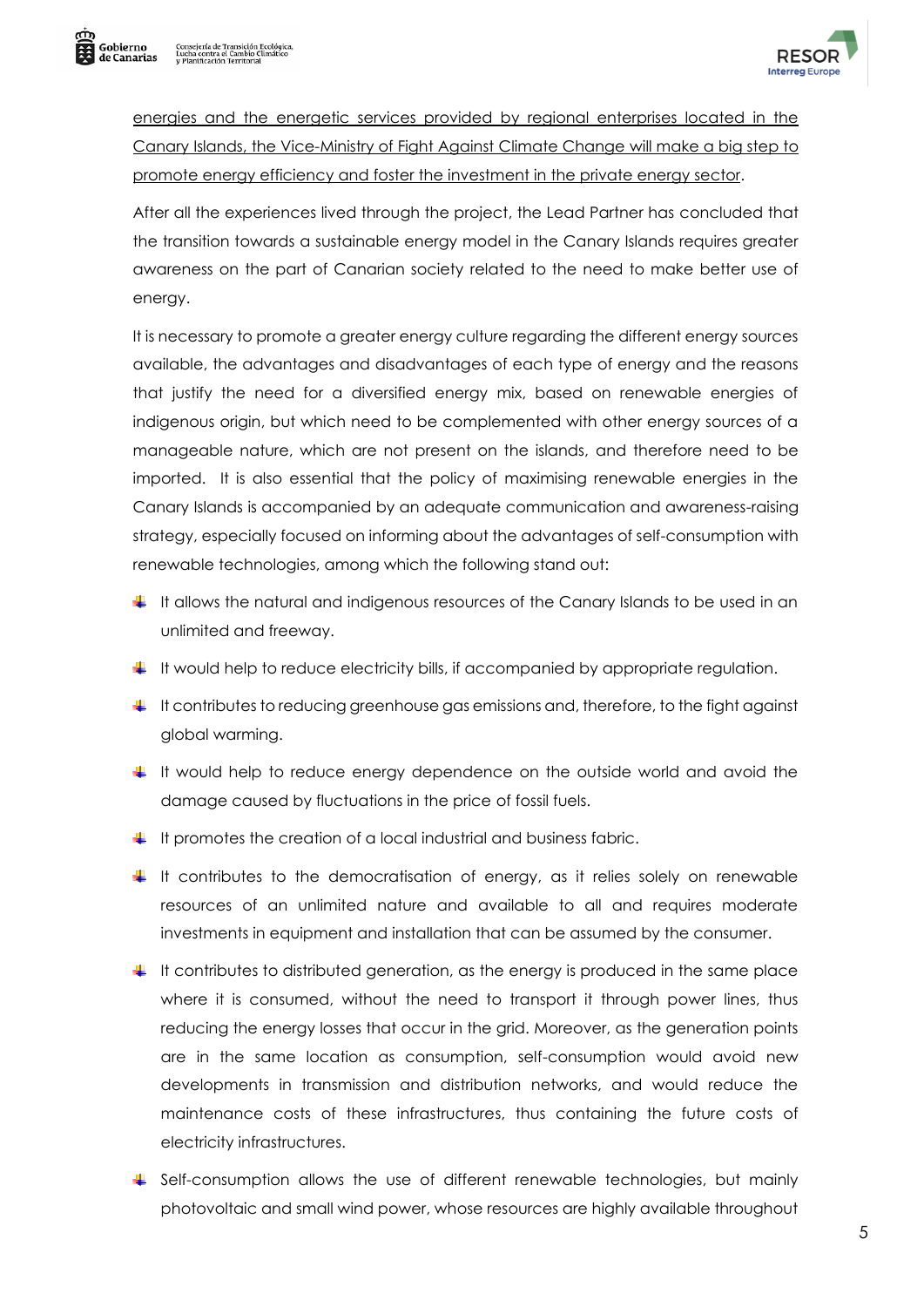

energies and the energetic services provided by regional enterprises located in the Canary Islands, the Vice-Ministry of Fight Against Climate Change will make a big step to promote energy efficiency and foster the investment in the private energy sector.

After all the experiences lived through the project, the Lead Partner has concluded that the transition towards a sustainable energy model in the Canary Islands requires greater awareness on the part of Canarian society related to the need to make better use of energy.

It is necessary to promote a greater energy culture regarding the different energy sources available, the advantages and disadvantages of each type of energy and the reasons that justify the need for a diversified energy mix, based on renewable energies of indigenous origin, but which need to be complemented with other energy sources of a manageable nature, which are not present on the islands, and therefore need to be imported. It is also essential that the policy of maximising renewable energies in the Canary Islands is accompanied by an adequate communication and awareness-raising strategy, especially focused on informing about the advantages of self-consumption with renewable technologies, among which the following stand out:

- $\downarrow$  It allows the natural and indigenous resources of the Canary Islands to be used in an unlimited and freeway.
- $\downarrow$  It would help to reduce electricity bills, if accompanied by appropriate regulation.
- It contributes to reducing greenhouse gas emissions and, therefore, to the fight against global warming.
- $\downarrow$  It would help to reduce energy dependence on the outside world and avoid the damage caused by fluctuations in the price of fossil fuels.
- $\downarrow$  It promotes the creation of a local industrial and business fabric.
- $\downarrow$  It contributes to the democratisation of energy, as it relies solely on renewable resources of an unlimited nature and available to all and requires moderate investments in equipment and installation that can be assumed by the consumer.
- $\downarrow$  It contributes to distributed generation, as the energy is produced in the same place where it is consumed, without the need to transport it through power lines, thus reducing the energy losses that occur in the grid. Moreover, as the generation points are in the same location as consumption, self-consumption would avoid new developments in transmission and distribution networks, and would reduce the maintenance costs of these infrastructures, thus containing the future costs of electricity infrastructures.
- Self-consumption allows the use of different renewable technologies, but mainly photovoltaic and small wind power, whose resources are highly available throughout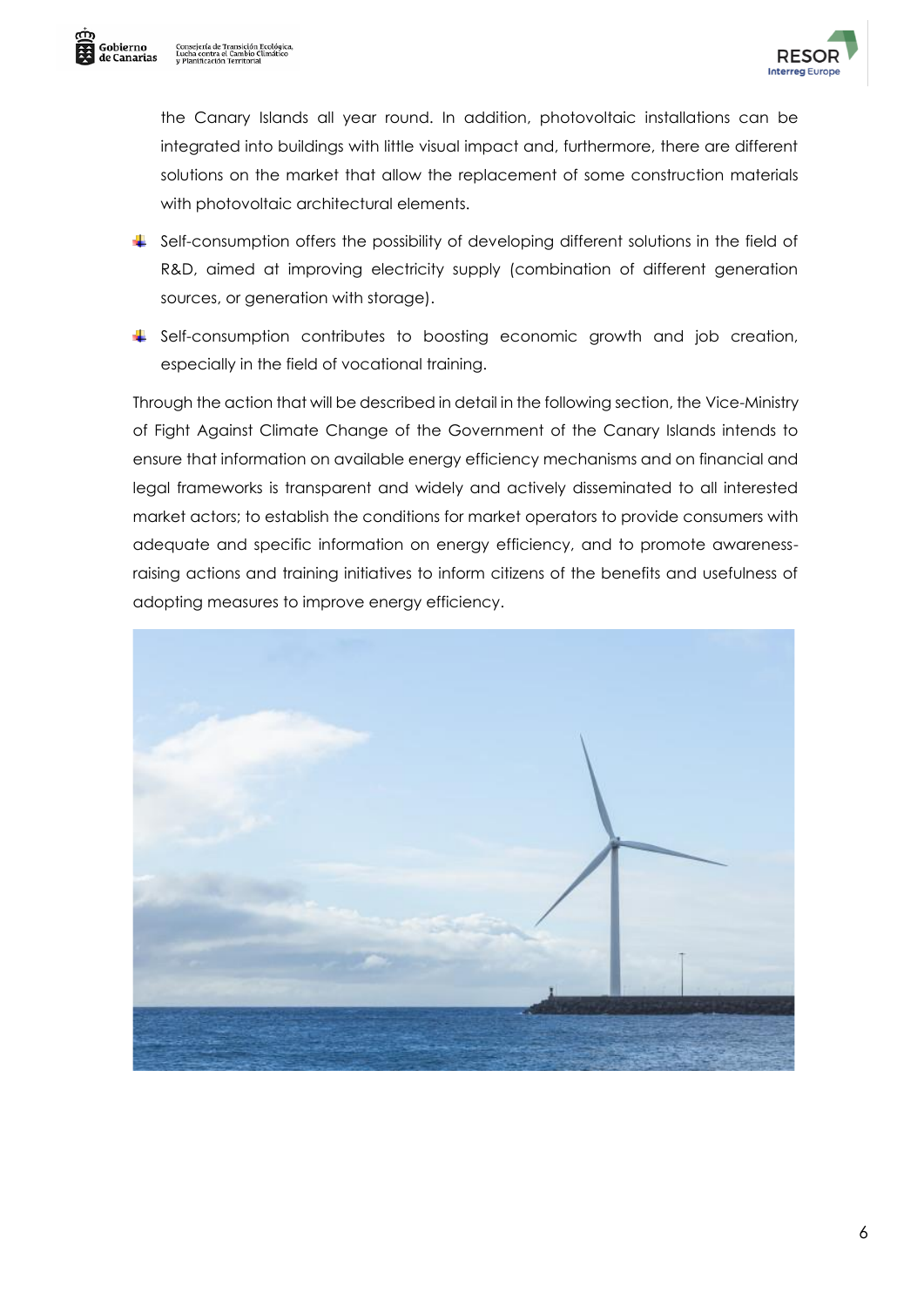



the Canary Islands all year round. In addition, photovoltaic installations can be integrated into buildings with little visual impact and, furthermore, there are different solutions on the market that allow the replacement of some construction materials with photovoltaic architectural elements.

- Self-consumption offers the possibility of developing different solutions in the field of R&D, aimed at improving electricity supply (combination of different generation sources, or generation with storage).
- Self-consumption contributes to boosting economic growth and job creation, especially in the field of vocational training.

Through the action that will be described in detail in the following section, the Vice-Ministry of Fight Against Climate Change of the Government of the Canary Islands intends to ensure that information on available energy efficiency mechanisms and on financial and legal frameworks is transparent and widely and actively disseminated to all interested market actors; to establish the conditions for market operators to provide consumers with adequate and specific information on energy efficiency, and to promote awarenessraising actions and training initiatives to inform citizens of the benefits and usefulness of adopting measures to improve energy efficiency.

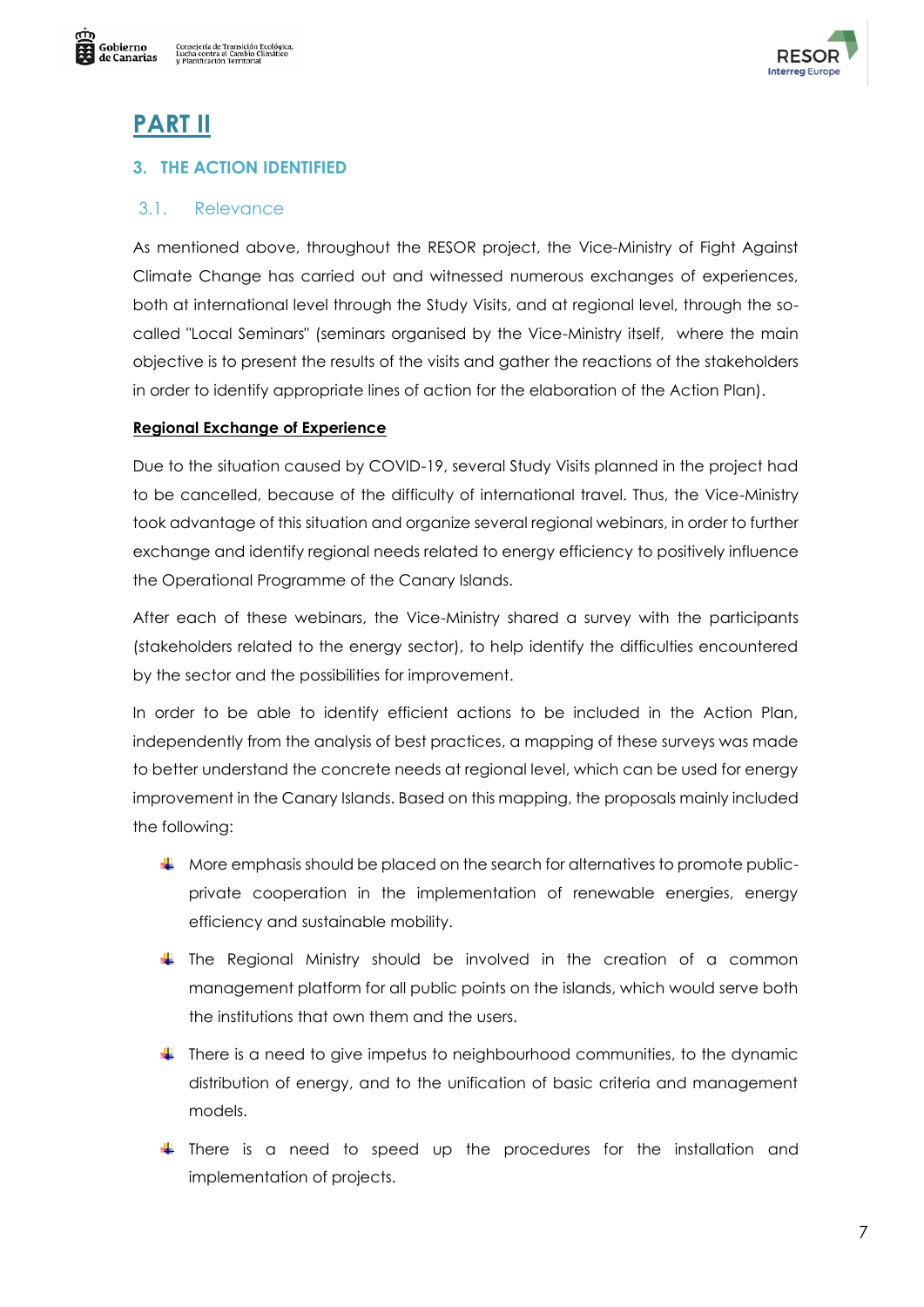

# **PART II**

# **3. THE ACTION IDENTIFIED**

## 3.1. Relevance

As mentioned above, throughout the RESOR project, the Vice-Ministry of Fight Against Climate Change has carried out and witnessed numerous exchanges of experiences, both at international level through the Study Visits, and at regional level, through the socalled "Local Seminars" (seminars organised by the Vice-Ministry itself, where the main objective is to present the results of the visits and gather the reactions of the stakeholders in order to identify appropriate lines of action for the elaboration of the Action Plan).

### **Regional Exchange of Experience**

Due to the situation caused by COVID-19, several Study Visits planned in the project had to be cancelled, because of the difficulty of international travel. Thus, the Vice-Ministry took advantage of this situation and organize several regional webinars, in order to further exchange and identify regional needs related to energy efficiency to positively influence the Operational Programme of the Canary Islands.

After each of these webinars, the Vice-Ministry shared a survey with the participants (stakeholders related to the energy sector), to help identify the difficulties encountered by the sector and the possibilities for improvement.

In order to be able to identify efficient actions to be included in the Action Plan, independently from the analysis of best practices, a mapping of these surveys was made to better understand the concrete needs at regional level, which can be used for energy improvement in the Canary Islands. Based on this mapping, the proposals mainly included the following:

- **H** More emphasis should be placed on the search for alternatives to promote publicprivate cooperation in the implementation of renewable energies, energy efficiency and sustainable mobility.
- $\uparrow$  The Regional Ministry should be involved in the creation of a common management platform for all public points on the islands, which would serve both the institutions that own them and the users.
- **There is a need to give impetus to neighbourhood communities, to the dynamic** distribution of energy, and to the unification of basic criteria and management models.
- **There is a need to speed up the procedures for the installation and** implementation of projects.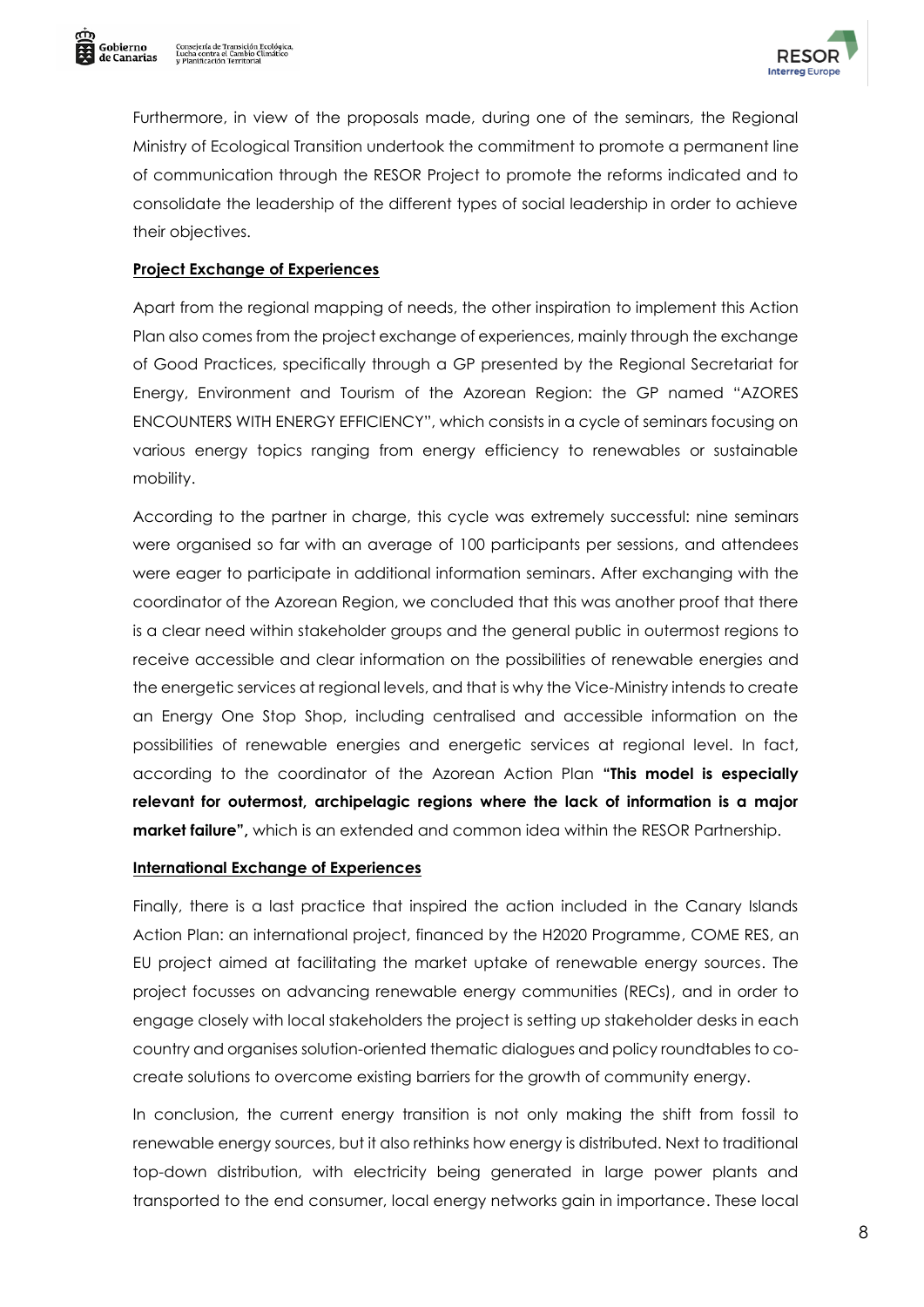



Furthermore, in view of the proposals made, during one of the seminars, the Regional Ministry of Ecological Transition undertook the commitment to promote a permanent line of communication through the RESOR Project to promote the reforms indicated and to consolidate the leadership of the different types of social leadership in order to achieve their objectives.

#### **Project Exchange of Experiences**

Apart from the regional mapping of needs, the other inspiration to implement this Action Plan also comes from the project exchange of experiences, mainly through the exchange of Good Practices, specifically through a GP presented by the Regional Secretariat for Energy, Environment and Tourism of the Azorean Region: the GP named "AZORES ENCOUNTERS WITH ENERGY EFFICIENCY", which consists in a cycle of seminars focusing on various energy topics ranging from energy efficiency to renewables or sustainable mobility.

According to the partner in charge, this cycle was extremely successful: nine seminars were organised so far with an average of 100 participants per sessions, and attendees were eager to participate in additional information seminars. After exchanging with the coordinator of the Azorean Region, we concluded that this was another proof that there is a clear need within stakeholder groups and the general public in outermost regions to receive accessible and clear information on the possibilities of renewable energies and the energetic services at regional levels, and that is why the Vice-Ministry intends to create an Energy One Stop Shop, including centralised and accessible information on the possibilities of renewable energies and energetic services at regional level. In fact, according to the coordinator of the Azorean Action Plan **"This model is especially relevant for outermost, archipelagic regions where the lack of information is a major market failure",** which is an extended and common idea within the RESOR Partnership.

#### **International Exchange of Experiences**

Finally, there is a last practice that inspired the action included in the Canary Islands Action Plan: an international project, financed by the H2020 Programme, COME RES, an EU project aimed at facilitating the market uptake of renewable energy sources. The project focusses on advancing renewable energy communities (RECs), and in order to engage closely with local stakeholders the project is setting up stakeholder desks in each country and organises solution-oriented thematic dialogues and policy roundtables to cocreate solutions to overcome existing barriers for the growth of community energy.

In conclusion, the current energy transition is not only making the shift from fossil to renewable energy sources, but it also rethinks how energy is distributed. Next to traditional top-down distribution, with electricity being generated in large power plants and transported to the end consumer, local energy networks gain in importance. These local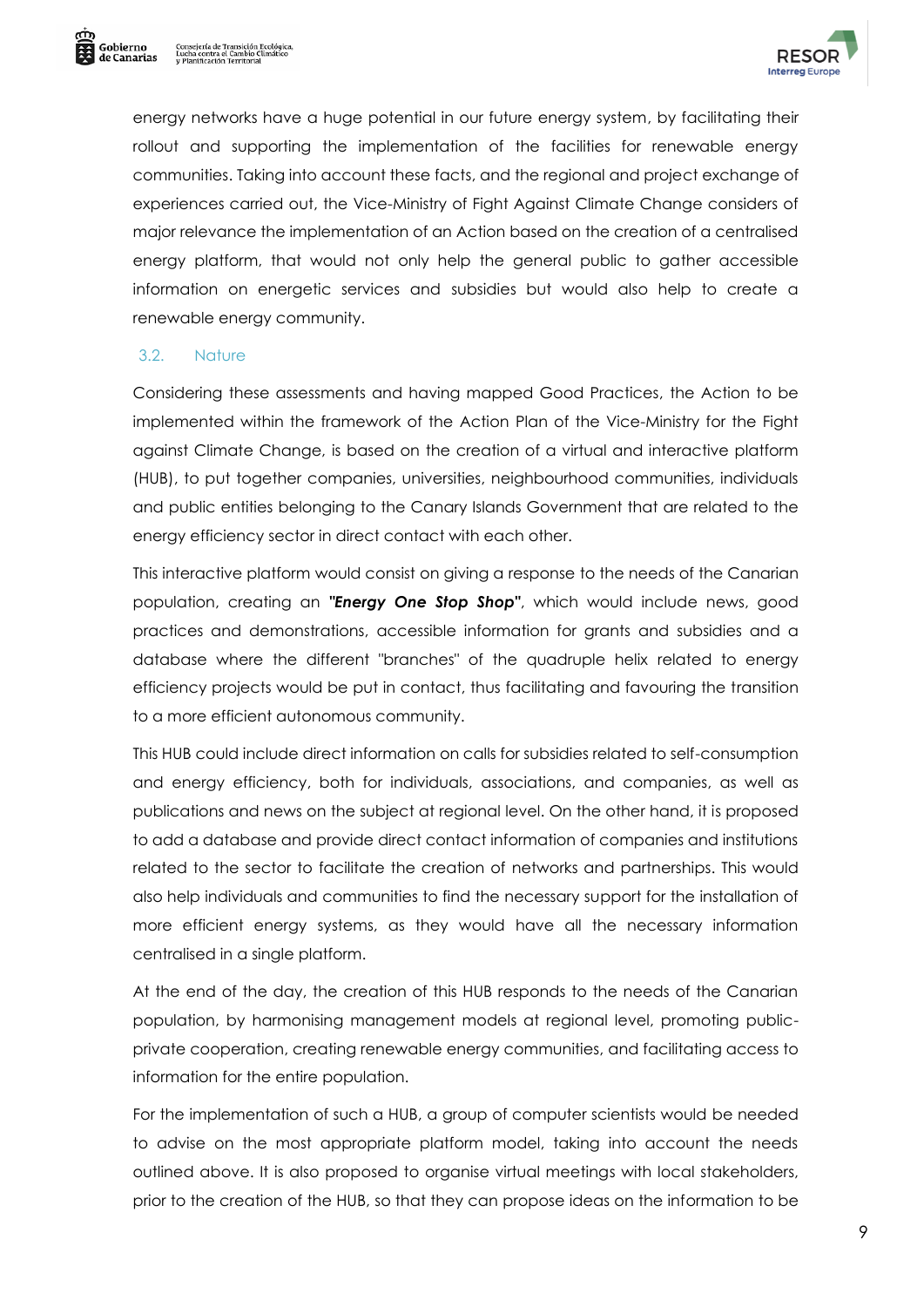



energy networks have a huge potential in our future energy system, by facilitating their rollout and supporting the implementation of the facilities for renewable energy communities. Taking into account these facts, and the regional and project exchange of experiences carried out, the Vice-Ministry of Fight Against Climate Change considers of major relevance the implementation of an Action based on the creation of a centralised energy platform, that would not only help the general public to gather accessible information on energetic services and subsidies but would also help to create a renewable energy community.

#### 3.2. Nature

Considering these assessments and having mapped Good Practices, the Action to be implemented within the framework of the Action Plan of the Vice-Ministry for the Fight against Climate Change, is based on the creation of a virtual and interactive platform (HUB), to put together companies, universities, neighbourhood communities, individuals and public entities belonging to the Canary Islands Government that are related to the energy efficiency sector in direct contact with each other.

This interactive platform would consist on giving a response to the needs of the Canarian population, creating an *"Energy One Stop Shop"*, which would include news, good practices and demonstrations, accessible information for grants and subsidies and a database where the different "branches" of the quadruple helix related to energy efficiency projects would be put in contact, thus facilitating and favouring the transition to a more efficient autonomous community.

This HUB could include direct information on calls for subsidies related to self-consumption and energy efficiency, both for individuals, associations, and companies, as well as publications and news on the subject at regional level. On the other hand, it is proposed to add a database and provide direct contact information of companies and institutions related to the sector to facilitate the creation of networks and partnerships. This would also help individuals and communities to find the necessary support for the installation of more efficient energy systems, as they would have all the necessary information centralised in a single platform.

At the end of the day, the creation of this HUB responds to the needs of the Canarian population, by harmonising management models at regional level, promoting publicprivate cooperation, creating renewable energy communities, and facilitating access to information for the entire population.

For the implementation of such a HUB, a group of computer scientists would be needed to advise on the most appropriate platform model, taking into account the needs outlined above. It is also proposed to organise virtual meetings with local stakeholders, prior to the creation of the HUB, so that they can propose ideas on the information to be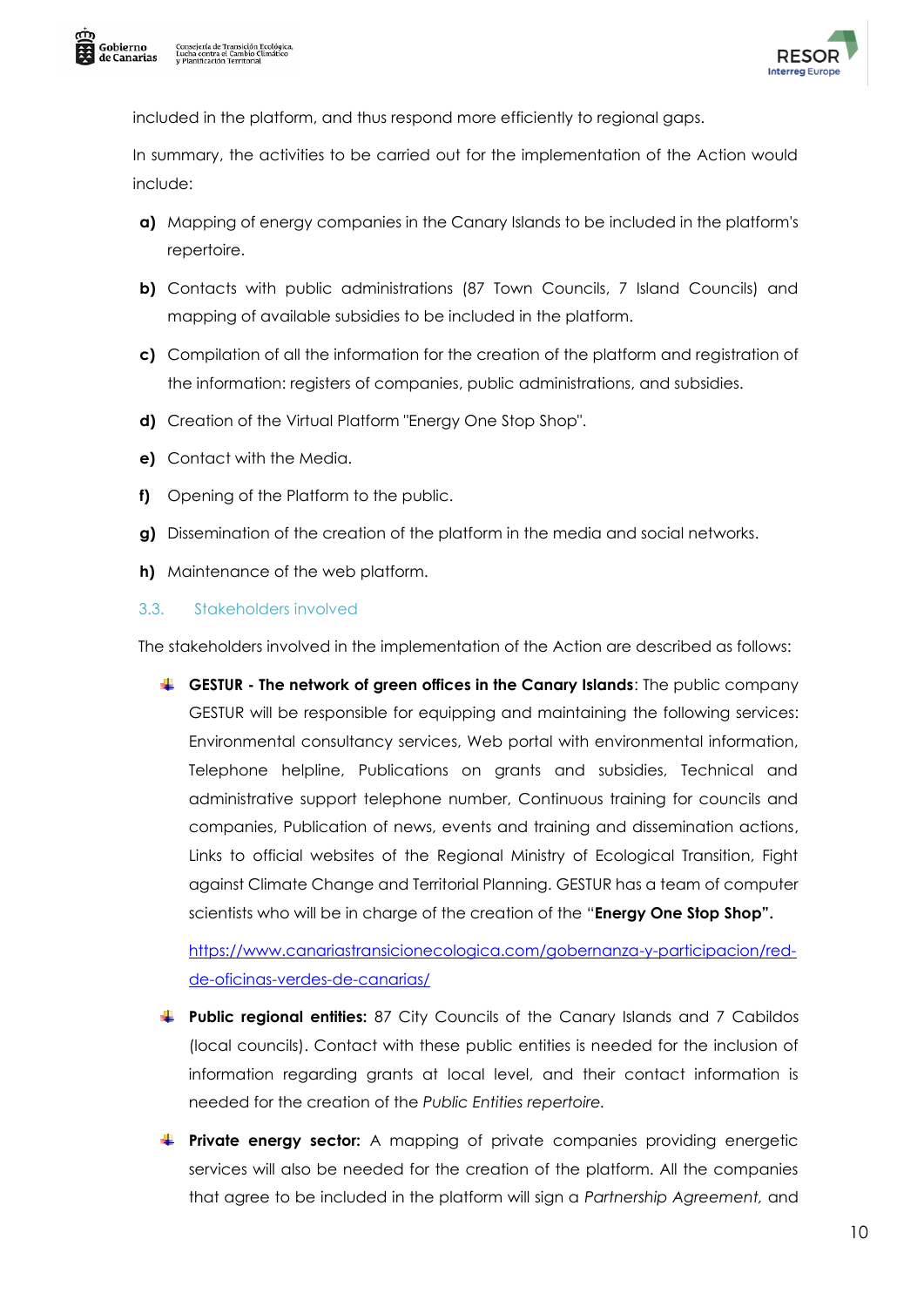



included in the platform, and thus respond more efficiently to regional gaps.

In summary, the activities to be carried out for the implementation of the Action would include:

- **a)** Mapping of energy companies in the Canary Islands to be included in the platform's repertoire.
- **b)** Contacts with public administrations (87 Town Councils, 7 Island Councils) and mapping of available subsidies to be included in the platform.
- **c)** Compilation of all the information for the creation of the platform and registration of the information: registers of companies, public administrations, and subsidies.
- **d)** Creation of the Virtual Platform "Energy One Stop Shop".
- **e)** Contact with the Media.
- **f)** Opening of the Platform to the public.
- **g)** Dissemination of the creation of the platform in the media and social networks.
- **h)** Maintenance of the web platform.

#### 3.3. Stakeholders involved

The stakeholders involved in the implementation of the Action are described as follows:

**GESTUR - The network of green offices in the Canary Islands**: The public company GESTUR will be responsible for equipping and maintaining the following services: Environmental consultancy services, Web portal with environmental information, Telephone helpline, Publications on grants and subsidies, Technical and administrative support telephone number, Continuous training for councils and companies, Publication of news, events and training and dissemination actions, Links to official websites of the Regional Ministry of Ecological Transition, Fight against Climate Change and Territorial Planning. GESTUR has a team of computer scientists who will be in charge of the creation of the "**Energy One Stop Shop".**

[https://www.canariastransicionecologica.com/gobernanza-y-participacion/red](https://www.canariastransicionecologica.com/gobernanza-y-participacion/red-de-oficinas-verdes-de-canarias/)[de-oficinas-verdes-de-canarias/](https://www.canariastransicionecologica.com/gobernanza-y-participacion/red-de-oficinas-verdes-de-canarias/)

- **Public regional entities:** 87 City Councils of the Canary Islands and 7 Cabildos (local councils). Contact with these public entities is needed for the inclusion of information regarding grants at local level, and their contact information is needed for the creation of the *Public Entities repertoire.*
- **Private energy sector:** A mapping of private companies providing energetic services will also be needed for the creation of the platform. All the companies that agree to be included in the platform will sign a *Partnership Agreement,* and